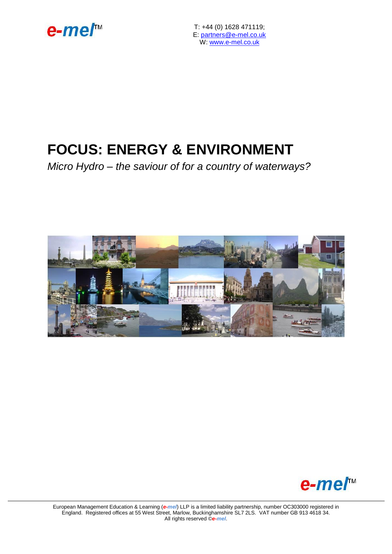

T: +44 (0) 1628 471119; E: [partners@e-mel.co.uk](mailto:partners@e-mel.co.uk) W: [www.e-mel.co.uk](http://www.e-mel.co.uk/)

# **FOCUS: ENERGY & ENVIRONMENT**

*Micro Hydro – the saviour of for a country of waterways?*





European Management Education & Learning (*e-mel*) LLP is a limited liability partnership, number OC303000 registered in England. Registered offices at 55 West Street, Marlow, Buckinghamshire SL7 2LS. VAT number GB 913 4618 34. All rights reserved ©*e-mel*.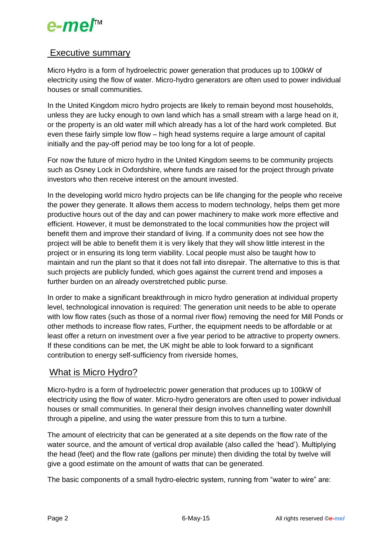# e-mer<sup>™</sup>

# Executive summary

Micro Hydro is a form of hydroelectric power generation that produces up to 100kW of electricity using the flow of water. Micro-hydro generators are often used to power individual houses or small communities.

In the United Kingdom micro hydro projects are likely to remain beyond most households, unless they are lucky enough to own land which has a small stream with a large head on it, or the property is an old water mill which already has a lot of the hard work completed. But even these fairly simple low flow – high head systems require a large amount of capital initially and the pay-off period may be too long for a lot of people.

For now the future of micro hydro in the United Kingdom seems to be community projects such as Osney Lock in Oxfordshire, where funds are raised for the project through private investors who then receive interest on the amount invested.

In the developing world micro hydro projects can be life changing for the people who receive the power they generate. It allows them access to modern technology, helps them get more productive hours out of the day and can power machinery to make work more effective and efficient. However, it must be demonstrated to the local communities how the project will benefit them and improve their standard of living. If a community does not see how the project will be able to benefit them it is very likely that they will show little interest in the project or in ensuring its long term viability. Local people must also be taught how to maintain and run the plant so that it does not fall into disrepair. The alternative to this is that such projects are publicly funded, which goes against the current trend and imposes a further burden on an already overstretched public purse.

In order to make a significant breakthrough in micro hydro generation at individual property level, technological innovation is required: The generation unit needs to be able to operate with low flow rates (such as those of a normal river flow) removing the need for Mill Ponds or other methods to increase flow rates, Further, the equipment needs to be affordable or at least offer a return on investment over a five year period to be attractive to property owners. If these conditions can be met, the UK might be able to look forward to a significant contribution to energy self-sufficiency from riverside homes,

# What is Micro Hydro?

Micro-hydro is a form of hydroelectric power generation that produces up to 100kW of electricity using the flow of water. Micro-hydro generators are often used to power individual houses or small communities. In general their design involves channelling water downhill through a pipeline, and using the water pressure from this to turn a turbine.

The amount of electricity that can be generated at a site depends on the flow rate of the water source, and the amount of vertical drop available (also called the 'head'). Multiplying the head (feet) and the flow rate (gallons per minute) then dividing the total by twelve will give a good estimate on the amount of watts that can be generated.

The basic components of a small hydro-electric system, running from "water to wire" are: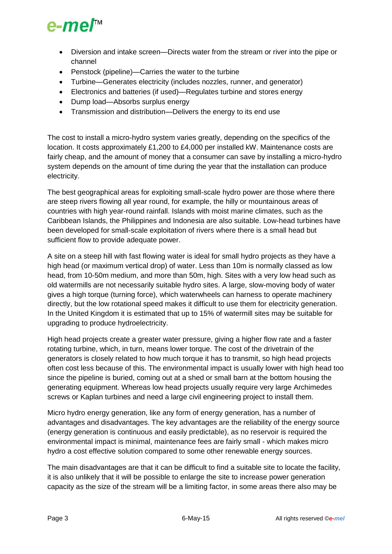

- Diversion and intake screen—Directs water from the stream or river into the pipe or channel
- Penstock (pipeline)—Carries the water to the turbine
- Turbine—Generates electricity (includes nozzles, runner, and generator)
- Electronics and batteries (if used)—Regulates turbine and stores energy
- Dump load—Absorbs surplus energy
- Transmission and distribution—Delivers the energy to its end use

The cost to install a micro-hydro system varies greatly, depending on the specifics of the location. It costs approximately £1,200 to £4,000 per installed kW. Maintenance costs are fairly cheap, and the amount of money that a consumer can save by installing a micro-hydro system depends on the amount of time during the year that the installation can produce electricity.

The best geographical areas for exploiting small-scale hydro power are those where there are steep rivers flowing all year round, for example, the hilly or mountainous areas of countries with high year-round rainfall. Islands with moist marine climates, such as the Caribbean Islands, the Philippines and Indonesia are also suitable. Low-head turbines have been developed for small-scale exploitation of rivers where there is a small head but sufficient flow to provide adequate power.

A site on a steep hill with fast flowing water is ideal for small hydro projects as they have a high head (or maximum vertical drop) of water. Less than 10m is normally classed as low head, from 10-50m medium, and more than 50m, high. Sites with a very low head such as old watermills are not necessarily suitable hydro sites. A large, slow-moving body of water gives a high torque (turning force), which waterwheels can harness to operate machinery directly, but the low rotational speed makes it difficult to use them for electricity generation. In the United Kingdom it is estimated that up to 15% of watermill sites may be suitable for upgrading to produce hydroelectricity.

High head projects create a greater water pressure, giving a higher flow rate and a faster rotating turbine, which, in turn, means lower torque. The cost of the drivetrain of the generators is closely related to how much torque it has to transmit, so high head projects often cost less because of this. The environmental impact is usually lower with high head too since the pipeline is buried, coming out at a shed or small barn at the bottom housing the generating equipment. Whereas low head projects usually require very large Archimedes screws or Kaplan turbines and need a large civil engineering project to install them.

Micro hydro energy generation, like any form of energy generation, has a number of advantages and disadvantages. The key advantages are the reliability of the energy source (energy generation is continuous and easily predictable), as no reservoir is required the environmental impact is minimal, maintenance fees are fairly small - which makes micro hydro a cost effective solution compared to some other renewable energy sources.

The main disadvantages are that it can be difficult to find a suitable site to locate the facility, it is also unlikely that it will be possible to enlarge the site to increase power generation capacity as the size of the stream will be a limiting factor, in some areas there also may be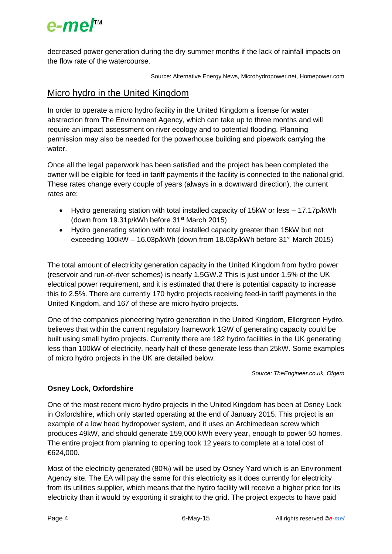

decreased power generation during the dry summer months if the lack of rainfall impacts on the flow rate of the watercourse.

Source: Alternative Energy News, Microhydropower.net, Homepower.com

# Micro hydro in the United Kingdom

In order to operate a micro hydro facility in the United Kingdom a license for water abstraction from The Environment Agency, which can take up to three months and will require an impact assessment on river ecology and to potential flooding. Planning permission may also be needed for the powerhouse building and pipework carrying the water.

Once all the legal paperwork has been satisfied and the project has been completed the owner will be eligible for feed-in tariff payments if the facility is connected to the national grid. These rates change every couple of years (always in a downward direction), the current rates are:

- Hydro generating station with total installed capacity of 15kW or less 17.17p/kWh (down from 19.31p/kWh before 31st March 2015)
- Hydro generating station with total installed capacity greater than 15kW but not exceeding 100kW – 16.03p/kWh (down from 18.03p/kWh before 31<sup>st</sup> March 2015)

The total amount of electricity generation capacity in the United Kingdom from hydro power (reservoir and run-of-river schemes) is nearly 1.5GW.2 This is just under 1.5% of the UK electrical power requirement, and it is estimated that there is potential capacity to increase this to 2.5%. There are currently 170 hydro projects receiving feed-in tariff payments in the United Kingdom, and 167 of these are micro hydro projects.

One of the companies pioneering hydro generation in the United Kingdom, Ellergreen Hydro, believes that within the current regulatory framework 1GW of generating capacity could be built using small hydro projects. Currently there are 182 hydro facilities in the UK generating less than 100kW of electricity, nearly half of these generate less than 25kW. Some examples of micro hydro projects in the UK are detailed below.

*Source: TheEngineer.co.uk, Ofgem*

## **Osney Lock, Oxfordshire**

One of the most recent micro hydro projects in the United Kingdom has been at Osney Lock in Oxfordshire, which only started operating at the end of January 2015. This project is an example of a low head hydropower system, and it uses an Archimedean screw which produces 49kW, and should generate 159,000 kWh every year, enough to power 50 homes. The entire project from planning to opening took 12 years to complete at a total cost of £624,000.

Most of the electricity generated (80%) will be used by Osney Yard which is an Environment Agency site. The EA will pay the same for this electricity as it does currently for electricity from its utilities supplier, which means that the hydro facility will receive a higher price for its electricity than it would by exporting it straight to the grid. The project expects to have paid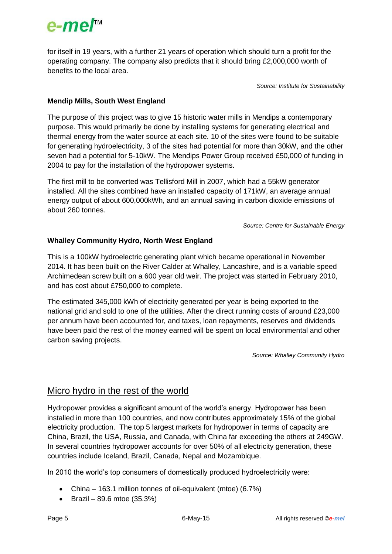

for itself in 19 years, with a further 21 years of operation which should turn a profit for the operating company. The company also predicts that it should bring £2,000,000 worth of benefits to the local area.

*Source: Institute for Sustainability*

## **Mendip Mills, South West England**

The purpose of this project was to give 15 historic water mills in Mendips a contemporary purpose. This would primarily be done by installing systems for generating electrical and thermal energy from the water source at each site. 10 of the sites were found to be suitable for generating hydroelectricity, 3 of the sites had potential for more than 30kW, and the other seven had a potential for 5-10kW. The Mendips Power Group received £50,000 of funding in 2004 to pay for the installation of the hydropower systems.

The first mill to be converted was Tellisford Mill in 2007, which had a 55kW generator installed. All the sites combined have an installed capacity of 171kW, an average annual energy output of about 600,000kWh, and an annual saving in carbon dioxide emissions of about 260 tonnes.

*Source: Centre for Sustainable Energy*

### **Whalley Community Hydro, North West England**

This is a 100kW hydroelectric generating plant which became operational in November 2014. It has been built on the River Calder at Whalley, Lancashire, and is a variable speed Archimedean screw built on a 600 year old weir. The project was started in February 2010, and has cost about £750,000 to complete.

The estimated 345,000 kWh of electricity generated per year is being exported to the national grid and sold to one of the utilities. After the direct running costs of around £23,000 per annum have been accounted for, and taxes, loan repayments, reserves and dividends have been paid the rest of the money earned will be spent on local environmental and other carbon saving projects.

*Source: Whalley Community Hydro*

# Micro hydro in the rest of the world

Hydropower provides a significant amount of the world's energy. Hydropower has been installed in more than 100 countries, and now contributes approximately 15% of the global electricity production. The top 5 largest markets for hydropower in terms of capacity are China, Brazil, the USA, Russia, and Canada, with China far exceeding the others at 249GW. In several countries hydropower accounts for over 50% of all electricity generation, these countries include Iceland, Brazil, Canada, Nepal and Mozambique.

In 2010 the world's top consumers of domestically produced hydroelectricity were:

- China 163.1 million tonnes of oil-equivalent (mtoe) (6.7%)
- $\bullet$  Brazil 89.6 mtoe (35.3%)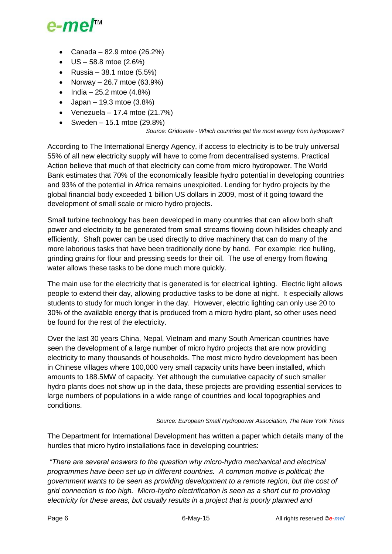

- Canada 82.9 mtoe  $(26.2%)$
- $\bullet$  US 58.8 mtoe (2.6%)
- Russia 38.1 mtoe  $(5.5%)$
- Norway 26.7 mtoe  $(63.9\%)$
- India 25.2 mtoe  $(4.8\%)$
- Japan 19.3 mtoe  $(3.8%)$
- Venezuela 17.4 mtoe  $(21.7%)$
- Sweden 15.1 mtoe  $(29.8\%)$

#### *Source: Gridovate - Which countries get the most energy from hydropower?*

According to The International Energy Agency, if access to electricity is to be truly universal 55% of all new electricity supply will have to come from decentralised systems. Practical Action believe that much of that electricity can come from micro hydropower. The World Bank estimates that 70% of the economically feasible hydro potential in developing countries and 93% of the potential in Africa remains unexploited. Lending for hydro projects by the global financial body exceeded 1 billion US dollars in 2009, most of it going toward the development of small scale or micro hydro projects.

Small turbine technology has been developed in many countries that can allow both shaft power and electricity to be generated from small streams flowing down hillsides cheaply and efficiently. Shaft power can be used directly to drive machinery that can do many of the more laborious tasks that have been traditionally done by hand. For example: rice hulling, grinding grains for flour and pressing seeds for their oil. The use of energy from flowing water allows these tasks to be done much more quickly.

The main use for the electricity that is generated is for electrical lighting. Electric light allows people to extend their day, allowing productive tasks to be done at night. It especially allows students to study for much longer in the day. However, electric lighting can only use 20 to 30% of the available energy that is produced from a micro hydro plant, so other uses need be found for the rest of the electricity.

Over the last 30 years China, Nepal, Vietnam and many South American countries have seen the development of a large number of micro hydro projects that are now providing electricity to many thousands of households. The most micro hydro development has been in Chinese villages where 100,000 very small capacity units have been installed, which amounts to 188.5MW of capacity. Yet although the cumulative capacity of such smaller hydro plants does not show up in the data, these projects are providing essential services to large numbers of populations in a wide range of countries and local topographies and conditions.

*Source: European Small Hydropower Association, The New York Times*

The Department for International Development has written a paper which details many of the hurdles that micro hydro installations face in developing countries:

*"There are several answers to the question why micro-hydro mechanical and electrical programmes have been set up in different countries. A common motive is political; the government wants to be seen as providing development to a remote region, but the cost of grid connection is too high. Micro-hydro electrification is seen as a short cut to providing electricity for these areas, but usually results in a project that is poorly planned and*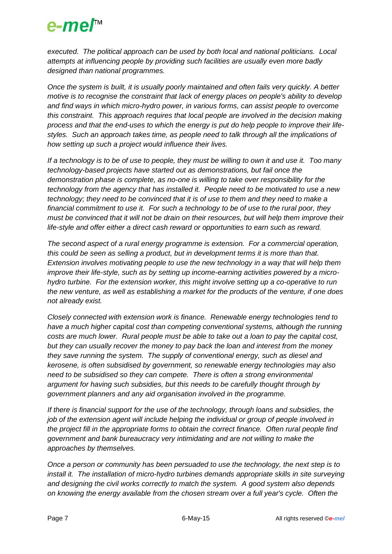# e-mer<sup>™</sup>

*executed. The political approach can be used by both local and national politicians. Local attempts at influencing people by providing such facilities are usually even more badly designed than national programmes.* 

*Once the system is built, it is usually poorly maintained and often fails very quickly. A better motive is to recognise the constraint that lack of energy places on people's ability to develop and find ways in which micro-hydro power, in various forms, can assist people to overcome this constraint. This approach requires that local people are involved in the decision making process and that the end-uses to which the energy is put do help people to improve their lifestyles. Such an approach takes time, as people need to talk through all the implications of how setting up such a project would influence their lives.*

*If a technology is to be of use to people, they must be willing to own it and use it. Too many technology-based projects have started out as demonstrations, but fail once the demonstration phase is complete, as no-one is willing to take over responsibility for the technology from the agency that has installed it. People need to be motivated to use a new technology; they need to be convinced that it is of use to them and they need to make a financial commitment to use it. For such a technology to be of use to the rural poor, they must be convinced that it will not be drain on their resources, but will help them improve their life-style and offer either a direct cash reward or opportunities to earn such as reward.*

*The second aspect of a rural energy programme is extension. For a commercial operation, this could be seen as selling a product, but in development terms it is more than that. Extension involves motivating people to use the new technology in a way that will help them improve their life-style, such as by setting up income-earning activities powered by a microhydro turbine. For the extension worker, this might involve setting up a co-operative to run the new venture, as well as establishing a market for the products of the venture, if one does not already exist.*

*Closely connected with extension work is finance. Renewable energy technologies tend to have a much higher capital cost than competing conventional systems, although the running costs are much lower. Rural people must be able to take out a loan to pay the capital cost, but they can usually recover the money to pay back the loan and interest from the money they save running the system. The supply of conventional energy, such as diesel and kerosene, is often subsidised by government, so renewable energy technologies may also need to be subsidised so they can compete. There is often a strong environmental argument for having such subsidies, but this needs to be carefully thought through by government planners and any aid organisation involved in the programme.* 

*If there is financial support for the use of the technology, through loans and subsidies, the job of the extension agent will include helping the individual or group of people involved in the project fill in the appropriate forms to obtain the correct finance. Often rural people find government and bank bureaucracy very intimidating and are not willing to make the approaches by themselves.* 

*Once a person or community has been persuaded to use the technology, the next step is to install it. The installation of micro-hydro turbines demands appropriate skills in site surveying and designing the civil works correctly to match the system. A good system also depends on knowing the energy available from the chosen stream over a full year's cycle. Often the*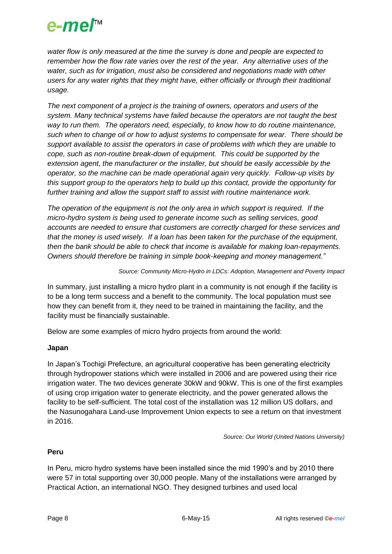

*water flow is only measured at the time the survey is done and people are expected to remember how the flow rate varies over the rest of the year. Any alternative uses of the water, such as for irrigation, must also be considered and negotiations made with other users for any water rights that they might have, either officially or through their traditional usage.* 

*The next component of a project is the training of owners, operators and users of the system. Many technical systems have failed because the operators are not taught the best way to run them. The operators need, especially, to know how to do routine maintenance, such when to change oil or how to adjust systems to compensate for wear. There should be support available to assist the operators in case of problems with which they are unable to cope, such as non-routine break-down of equipment. This could be supported by the extension agent, the manufacturer or the installer, but should be easily accessible by the operator, so the machine can be made operational again very quickly. Follow-up visits by this support group to the operators help to build up this contact, provide the opportunity for further training and allow the support staff to assist with routine maintenance work.* 

*The operation of the equipment is not the only area in which support is required. If the micro-hydro system is being used to generate income such as selling services, good accounts are needed to ensure that customers are correctly charged for these services and that the money is used wisely. If a loan has been taken for the purchase of the equipment, then the bank should be able to check that income is available for making loan-repayments. Owners should therefore be training in simple book-keeping and money management."*

*Source: Community Micro-Hydro in LDCs: Adoption, Management and Poverty Impact*

In summary, just installing a micro hydro plant in a community is not enough if the facility is to be a long term success and a benefit to the community. The local population must see how they can benefit from it, they need to be trained in maintaining the facility, and the facility must be financially sustainable.

Below are some examples of micro hydro projects from around the world:

## **Japan**

In Japan's Tochigi Prefecture, an agricultural cooperative has been generating electricity through hydropower stations which were installed in 2006 and are powered using their rice irrigation water. The two devices generate 30kW and 90kW. This is one of the first examples of using crop irrigation water to generate electricity, and the power generated allows the facility to be self-sufficient. The total cost of the installation was 12 million US dollars, and the Nasunogahara Land-use Improvement Union expects to see a return on that investment in 2016.

*Source: Our World (United Nations University)*

## **Peru**

In Peru, micro hydro systems have been installed since the mid 1990's and by 2010 there were 57 in total supporting over 30,000 people. Many of the installations were arranged by Practical Action, an international NGO. They designed turbines and used local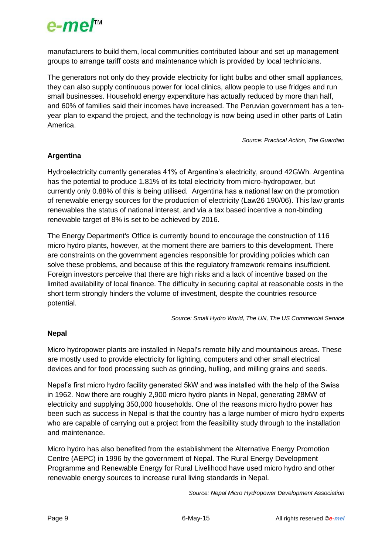

manufacturers to build them, local communities contributed labour and set up management groups to arrange tariff costs and maintenance which is provided by local technicians.

The generators not only do they provide electricity for light bulbs and other small appliances, they can also supply continuous power for local clinics, allow people to use fridges and run small businesses. Household energy expenditure has actually reduced by more than half, and 60% of families said their incomes have increased. The Peruvian government has a tenyear plan to expand the project, and the technology is now being used in other parts of Latin America.

*Source: Practical Action, The Guardian*

## **Argentina**

Hydroelectricity currently generates 41% of Argentina's electricity, around 42GWh. Argentina has the potential to produce 1.81% of its total electricity from micro-hydropower, but currently only 0.88% of this is being utilised. Argentina has a national law on the promotion of renewable energy sources for the production of electricity (Law26 190/06). This law grants renewables the status of national interest, and via a tax based incentive a non-binding renewable target of 8% is set to be achieved by 2016.

The Energy Department's Office is currently bound to encourage the construction of 116 micro hydro plants, however, at the moment there are barriers to this development. There are constraints on the government agencies responsible for providing policies which can solve these problems, and because of this the regulatory framework remains insufficient. Foreign investors perceive that there are high risks and a lack of incentive based on the limited availability of local finance. The difficulty in securing capital at reasonable costs in the short term strongly hinders the volume of investment, despite the countries resource potential.

*Source: Small Hydro World, The UN, The US Commercial Service*

## **Nepal**

Micro hydropower plants are installed in Nepal's remote hilly and mountainous areas. These are mostly used to provide electricity for lighting, computers and other small electrical devices and for food processing such as grinding, hulling, and milling grains and seeds.

Nepal's first micro hydro facility generated 5kW and was installed with the help of the Swiss in 1962. Now there are roughly 2,900 micro hydro plants in Nepal, generating 28MW of electricity and supplying 350,000 households. One of the reasons micro hydro power has been such as success in Nepal is that the country has a large number of micro hydro experts who are capable of carrying out a project from the feasibility study through to the installation and maintenance.

Micro hydro has also benefited from the establishment the Alternative Energy Promotion Centre (AEPC) in 1996 by the government of Nepal. The Rural Energy Development Programme and Renewable Energy for Rural Livelihood have used micro hydro and other renewable energy sources to increase rural living standards in Nepal.

*Source: Nepal Micro Hydropower Development Association*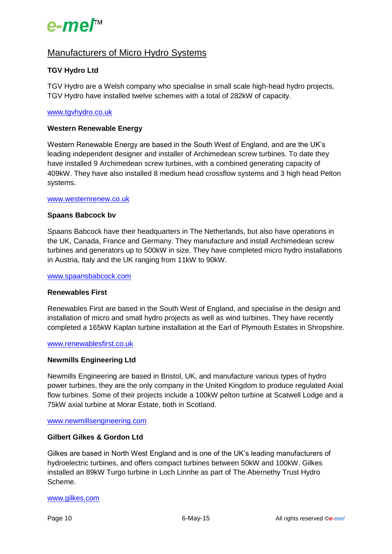

# Manufacturers of Micro Hydro Systems

## **TGV Hydro Ltd**

TGV Hydro are a Welsh company who specialise in small scale high-head hydro projects, TGV Hydro have installed twelve schemes with a total of 282kW of capacity.

### [www.tgvhydro.co.uk](http://www.tgvhydro.co.uk/)

### **Western Renewable Energy**

Western Renewable Energy are based in the South West of England, and are the UK's leading independent designer and installer of Archimedean screw turbines. To date they have installed 9 Archimedean screw turbines, with a combined generating capacity of 409kW. They have also installed 8 medium head crossflow systems and 3 high head Pelton systems.

### [www.westernrenew.co.uk](http://www.westernrenew.co.uk/)

### **Spaans Babcock bv**

Spaans Babcock have their headquarters in The Netherlands, but also have operations in the UK, Canada, France and Germany. They manufacture and install Archimedean screw turbines and generators up to 500kW in size. They have completed micro hydro installations in Austria, Italy and the UK ranging from 11kW to 90kW.

#### [www.spaansbabcock.com](http://www.spaansbabcock.com/)

### **Renewables First**

Renewables First are based in the South West of England, and specialise in the design and installation of micro and small hydro projects as well as wind turbines. They have recently completed a 165kW Kaplan turbine installation at the Earl of Plymouth Estates in Shropshire.

### [www.renewablesfirst.co.uk](http://www.renewablesfirst.co.uk/)

### **Newmills Engineering Ltd**

Newmills Engineering are based in Bristol, UK, and manufacture various types of hydro power turbines, they are the only company in the United Kingdom to produce regulated Axial flow turbines. Some of their projects include a 100kW pelton turbine at Scatwell Lodge and a 75kW axial turbine at Morar Estate, both in Scotland.

### [www.newmillsengineering.com](http://www.newmillsengineering.com/)

### **Gilbert Gilkes & Gordon Ltd**

Gilkes are based in North West England and is one of the UK's leading manufacturers of hydroelectric turbines, and offers compact turbines between 50kW and 100kW. Gilkes installed an 89kW Turgo turbine in Loch Linnhe as part of The Abernethy Trust Hydro Scheme.

### [www.gilkes.com](http://www.gilkes.com/)